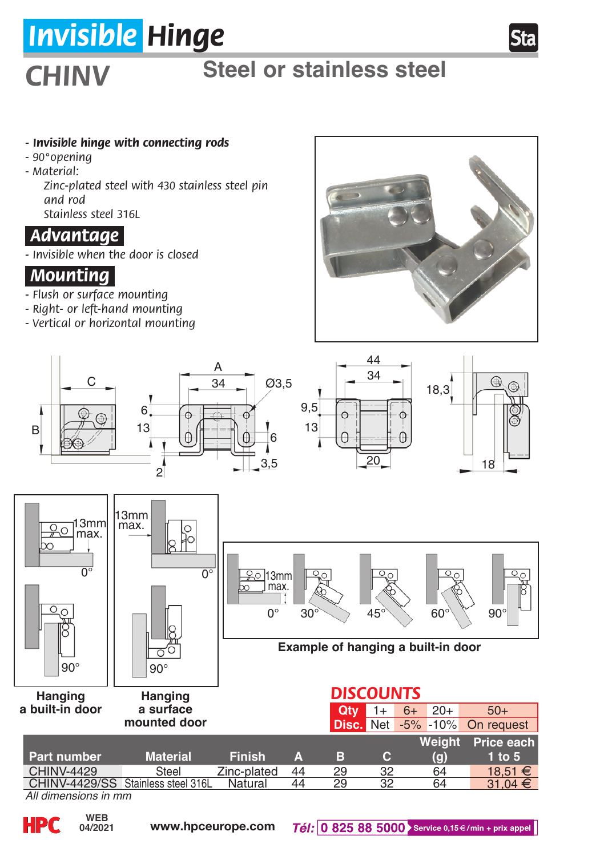# *Invisible Hinge*

## *CHINV*

## **Steel or stainless steel**

#### *- Invisible hinge with connecting rods*

- *90°opening*
- *Material:*
	- *Zinc-plated steel with 430 stainless steel pin and rod Stainless steel 316L*

### *.Advantage.*

*- Invisible when the door is closed*

### *.Mounting.*

- *Flush or surface mounting*
- *Right- or left-hand mounting*
- *Vertical or horizontal mounting*





**HPC**